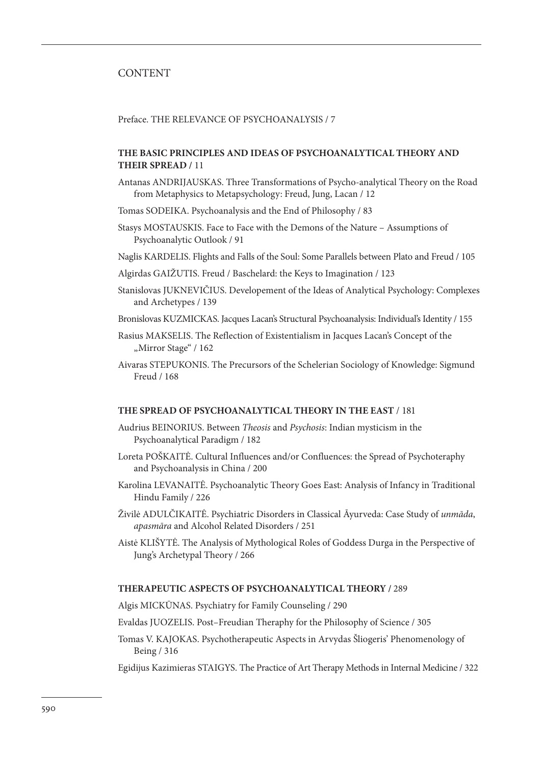# CONTENT

Preface. THE RELEVANCE OF PSYCHOANALYSIS / 7

## **THE BASIC PRINCIPLES AND IDEAS OF PSYCHOANALYTICAL THEORY AND THEIR SPREAD /** 11

- Antanas ANDRIJAUSKAS. Three Transformations of Psycho-analytical Theory on the Road from Metaphysics to Metapsychology: Freud, Jung, Lacan / 12
- Tomas SODEIKA. Psychoanalysis and the End of Philosophy / 83
- Stasys MOSTAUSKIS. Face to Face with the Demons of the Nature Assumptions of Psychoanalytic Outlook / 91
- Naglis KARDELIS. Flights and Falls of the Soul: Some Parallels between Plato and Freud / 105
- Algirdas GAIŽUTIS. Freud / Baschelard: the Keys to Imagination / 123
- Stanislovas JUKNEVIČIUS. Developement of the Ideas of Analytical Psychology: Complexes and Archetypes / 139
- Bronislovas KUZMICKAS. Jacques Lacan's Structural Psychoanalysis: Individual's Identity / 155
- Rasius MAKSELIS. The Reflection of Existentialism in Jacques Lacan's Concept of the "Mirror Stage" / 162
- Aivaras STEPUKONIS. The Precursors of the Schelerian Sociology of Knowledge: Sigmund Freud / 168

#### **THE SPREAD OF PSYCHOANALYTICAL THEORY IN THE EAST** / 181

- Audrius BEINORIUS. Between *Theosis* and *Psychosis*: Indian mysticism in the Psychoanalytical Paradigm / 182
- Loreta POŠKAITĖ. Cultural Influences and/or Confluences: the Spread of Psychoteraphy and Psychoanalysis in China / 200
- Karolina LEVANAITĖ. Psychoanalytic Theory Goes East: Analysis of Infancy in Traditional Hindu Family / 226
- Živilė ADULČIKAITĖ. Psychiatric Disorders in Classical Āyurveda: Case Study of *unmāda*, *apasmāra* and Alcohol Related Disorders / 251
- Aistė KLIŠYTĖ. The Analysis of Mythological Roles of Goddess Durga in the Perspective of Jung's Archetypal Theory / 266

### **THERAPEUTIC ASPECTS OF PSYCHOANALYTICAL THEORY /** 289

Algis MICKŪNAS. Psychiatry for Family Counseling / 290

Evaldas JUOZELIS. Post–Freudian Theraphy for the Philosophy of Science / 305

Tomas V. KAJOKAS. Psychotherapeutic Aspects in Arvydas Šliogeris' Phenomenology of Being / 316

Egidijus Kazimieras STAIGYS. The Practice of Art Therapy Methods in Internal Medicine / 322